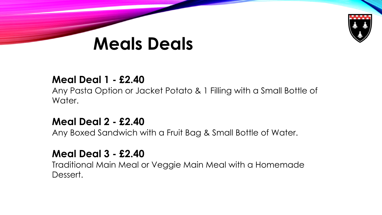

# **Meals Deals**

# **Meal Deal 1 - £2.40**

Any Pasta Option or Jacket Potato & 1 Filling with a Small Bottle of Water.

# **Meal Deal 2 - £2.40**

Any Boxed Sandwich with a Fruit Bag & Small Bottle of Water.

# **Meal Deal 3 - £2.40**

Traditional Main Meal or Veggie Main Meal with a Homemade Dessert.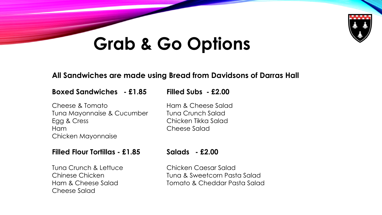

# **Grab & Go Options**

### **All Sandwiches are made using Bread from Davidsons of Darras Hall**

### **Boxed Sandwiches - £1.85 Filled Subs - £2.00**

### Cheese & Tomato **Ham & Cheese Salad** Tuna Mayonnaise & Cucumber Tuna Crunch Salad Egg & Cress Chicken Tikka Salad Ham Cheese Salad Chicken Mayonnaise

### **Filled Flour Tortillas - £1.85 Salads - £2.00**

Tuna Crunch & Lettuce Chicken Caesar Salad Cheese Salad

Chinese Chicken Tuna & Sweetcorn Pasta Salad Ham & Cheese Salad Tomato & Cheddar Pasta Salad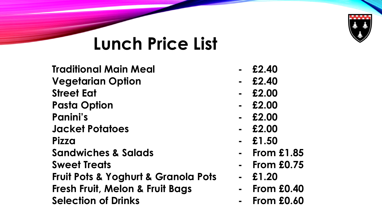

# **Lunch Price List**

**Traditional Main Meal - £2.40 Vegetarian Option - £2.40 Street Eat - £2.00 Pasta Option - £2.00 Panini's - £2.00 Jacket Potatoes - £2.00 Pizza - £1.50 Sandwiches & Salads - From £1.85 Sweet Treats - From £0.75 Fruit Pots & Yoghurt & Granola Pots - £1.20 Fresh Fruit, Melon & Fruit Bags - From £0.40 Selection of Drinks - From £0.60**

- 
- 
- 
- 
- 
- 
- 
- 
- 
- 
- 
-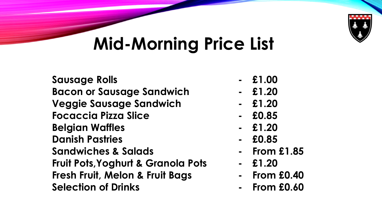

# **Mid-Morning Price List**

**Sausage Rolls - £1.00 Bacon or Sausage Sandwich - £1.20 Veggie Sausage Sandwich - £1.20 Focaccia Pizza Slice - £0.85 Belgian Waffles - £1.20 Danish Pastries - £0.85 Sandwiches & Salads - From £1.85 Fruit Pots,Yoghurt & Granola Pots - £1.20 Fresh Fruit, Melon & Fruit Bags - From £0.40 Selection of Drinks - From £0.60**

- 
- 
- 
- 
- 
- 
- 
- 
- 
-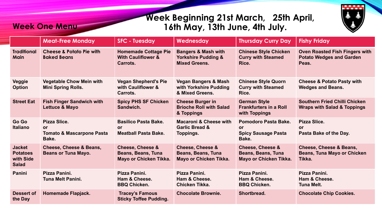## **Week Beginning 21st March, 25th April, 16th May, 13th June, 4th July.**



|                                                               | <b>Meat-Free Monday</b>                                              | <b>SFC - Tuesday</b>                                                                      | Wednesday                                                                                | <b>Thursday Curry Day</b>                                                          | <b>Fishy Friday</b>                                                                |
|---------------------------------------------------------------|----------------------------------------------------------------------|-------------------------------------------------------------------------------------------|------------------------------------------------------------------------------------------|------------------------------------------------------------------------------------|------------------------------------------------------------------------------------|
| <b>Traditional</b><br><b>Main</b>                             | <b>Cheese &amp; Potato Pie with</b><br><b>Baked Beans</b>            | <b>Homemade Cottage Pie</b><br><b>With Cauliflower &amp;</b><br>Carrots.                  | <b>Bangers &amp; Mash with</b><br><b>Yorkshire Pudding &amp;</b><br><b>Mixed Greens.</b> | <b>Chinese Style Chicken</b><br><b>Curry with Steamed</b><br>Rice.                 | <b>Oven Roasted Fish Fingers with</b><br><b>Potato Wedges and Garden</b><br>Peas.  |
| <b>Veggie</b><br><b>Option</b>                                | <b>Vegetable Chow Mein with</b><br><b>Mini Spring Rolls.</b>         | <b>Vegan Shepherd's Pie</b><br>with Cauliflower &<br>Carrots.                             | <b>Vegan Bangers &amp; Mash</b><br>with Yorkshire Pudding<br>& Mixed Greens.             | <b>Chinese Style Quorn</b><br><b>Curry with Steamed</b><br>Rice.                   | <b>Cheese &amp; Potato Pasty with</b><br><b>Wedges and Beans.</b>                  |
| <b>Street Eat</b>                                             | <b>Fish Finger Sandwich with</b><br>Lettuce & Mayo                   | <b>Spicy PHS SF Chicken</b><br>Sandwich.                                                  | <b>Cheese Burger in</b><br><b>Brioche Roll with Salad</b><br>& Toppings                  | <b>German Style</b><br><b>Frankfurters in a Roll</b><br>with Toppings              | <b>Southern Fried Chilli Chicken</b><br><b>Wraps with Salad &amp; Toppings</b>     |
| Go Go<br><b>Italiano</b>                                      | Pizza Slice.<br>or.<br><b>Tomato &amp; Mascarpone Pasta</b><br>Bake. | <b>Basilico Pasta Bake.</b><br>or<br><b>Meatball Pasta Bake.</b>                          | <b>Macaroni &amp; Cheese with</b><br><b>Garlic Bread &amp;</b><br>Toppings.              | Pomodoro Pasta Bake.<br><b>or</b><br><b>Spicy Sausage Pasta</b><br>Bake.           | Pizza Slice.<br>or<br>Pasta Bake of the Day.                                       |
| <b>Jacket</b><br><b>Potatoes</b><br>with Side<br><b>Salad</b> | Cheese, Cheese & Beans,<br><b>Beans or Tuna Mayo.</b>                | <b>Cheese, Cheese &amp;</b><br><b>Beans, Beans, Tuna</b><br><b>Mayo or Chicken Tikka.</b> | <b>Cheese, Cheese &amp;</b><br><b>Beans, Beans, Tuna</b><br>Mayo or Chicken Tikka.       | <b>Cheese, Cheese &amp;</b><br><b>Beans, Beans, Tuna</b><br>Mayo or Chicken Tikka. | <b>Cheese, Cheese &amp; Beans,</b><br><b>Beans, Tuna Mayo or Chicken</b><br>Tikka. |
| Panini                                                        | Pizza Panini.<br>Tuna Melt Panini.                                   | Pizza Panini.<br>Ham & Cheese.<br><b>BBQ Chicken.</b>                                     | Pizza Panini.<br>Ham & Cheese.<br>Chicken Tikka.                                         | Pizza Panini.<br>Ham & Cheese.<br><b>BBQ Chicken.</b>                              | Pizza Panini.<br>Ham & Cheese.<br><b>Tuna Melt.</b>                                |
| Dessert of<br>the Day                                         | <b>Homemade Flapjack.</b>                                            | <b>Tracey's Famous</b><br><b>Sticky Toffee Pudding.</b>                                   | <b>Chocolate Brownie.</b>                                                                | Shortbread.                                                                        | <b>Chocolate Chip Cookies.</b>                                                     |

**Week One Menu**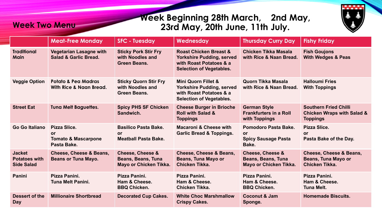## **Week Beginning 28th March, 2nd May, 23rd May, 20th June, 11th July.**



|                                                            | <b>Meat-Free Monday</b>                                             | <b>SFC - Tuesday</b>                                                               | Wednesday                                                                                                                           | <b>Thursday Curry Day</b>                                                          | <b>Fishy Friday</b>                                                                      |
|------------------------------------------------------------|---------------------------------------------------------------------|------------------------------------------------------------------------------------|-------------------------------------------------------------------------------------------------------------------------------------|------------------------------------------------------------------------------------|------------------------------------------------------------------------------------------|
| <b>Traditional</b><br><b>Main</b>                          | <b>Vegetarian Lasagne with</b><br><b>Salad &amp; Garlic Bread.</b>  | <b>Sticky Pork Stir Fry</b><br>with Noodles and<br><b>Green Beans.</b>             | <b>Roast Chicken Breast &amp;</b><br><b>Yorkshire Pudding, served</b><br>with Roast Potatoes & a<br><b>Selection of Vegetables.</b> | Chicken Tikka Masala<br>with Rice & Naan Bread.                                    | <b>Fish Goujons</b><br><b>With Wedges &amp; Peas</b>                                     |
| <b>Veggie Option</b>                                       | <b>Potato &amp; Pea Madras</b><br>With Rice & Naan Bread.           | <b>Sticky Quorn Stir Fry</b><br>with Noodles and<br><b>Green Beans.</b>            | <b>Mini Quorn Fillet &amp;</b><br><b>Yorkshire Pudding, served</b><br>with Roast Potatoes & a<br><b>Selection of Vegetables.</b>    | Quorn Tikka Masala<br>with Rice & Naan Bread.                                      | <b>Halloumi Fries</b><br><b>With Toppings</b>                                            |
| <b>Street Eat</b>                                          | <b>Tuna Melt Baguettes.</b>                                         | <b>Spicy PHS SF Chicken</b><br>Sandwich.                                           | <b>Cheese Burger in Brioche</b><br><b>Roll with Salad &amp;</b><br><b>Toppings</b>                                                  | <b>German Style</b><br><b>Frankfurters in a Roll</b><br>with Toppings              | <b>Southern Fried Chilli</b><br><b>Chicken Wraps with Salad &amp;</b><br><b>Toppings</b> |
| Go Go Italiano                                             | Pizza Slice.<br>0r<br><b>Tomato &amp; Mascarpone</b><br>Pasta Bake. | <b>Basilico Pasta Bake.</b><br>or<br><b>Meatball Pasta Bake.</b>                   | <b>Macaroni &amp; Cheese with</b><br><b>Garlic Bread &amp; Toppings.</b>                                                            | Pomodoro Pasta Bake.<br><b>or</b><br><b>Spicy Sausage Pasta</b><br>Bake.           | Pizza Slice.<br><b>or</b><br>Pasta Bake of the Day.                                      |
| <b>Jacket</b><br><b>Potatoes with</b><br><b>Side Salad</b> | Cheese, Cheese & Beans,<br><b>Beans or Tuna Mayo.</b>               | <b>Cheese, Cheese &amp;</b><br><b>Beans, Beans, Tuna</b><br>Mayo or Chicken Tikka. | Cheese, Cheese & Beans,<br><b>Beans, Tuna Mayo or</b><br>Chicken Tikka.                                                             | <b>Cheese, Cheese &amp;</b><br><b>Beans, Beans, Tuna</b><br>Mayo or Chicken Tikka. | Cheese, Cheese & Beans,<br><b>Beans, Tuna Mayo or</b><br>Chicken Tikka.                  |
| Panini                                                     | Pizza Panini.<br><b>Tuna Melt Panini.</b>                           | Pizza Panini.<br>Ham & Cheese.<br><b>BBQ Chicken.</b>                              | Pizza Panini.<br>Ham & Cheese.<br>Chicken Tikka.                                                                                    | Pizza Panini.<br>Ham & Cheese.<br><b>BBQ Chicken.</b>                              | Pizza Panini.<br>Ham & Cheese.<br><b>Tuna Melt.</b>                                      |
| <b>Dessert of the</b><br><b>Day</b>                        | <b>Millionaire Shortbread</b>                                       | <b>Decorated Cup Cakes.</b>                                                        | <b>White Choc Marshmallow</b><br><b>Crispy Cakes.</b>                                                                               | <b>Coconut &amp; Jam</b><br>Sponge.                                                | <b>Homemade Biscuits.</b>                                                                |

**Week Two Menu**